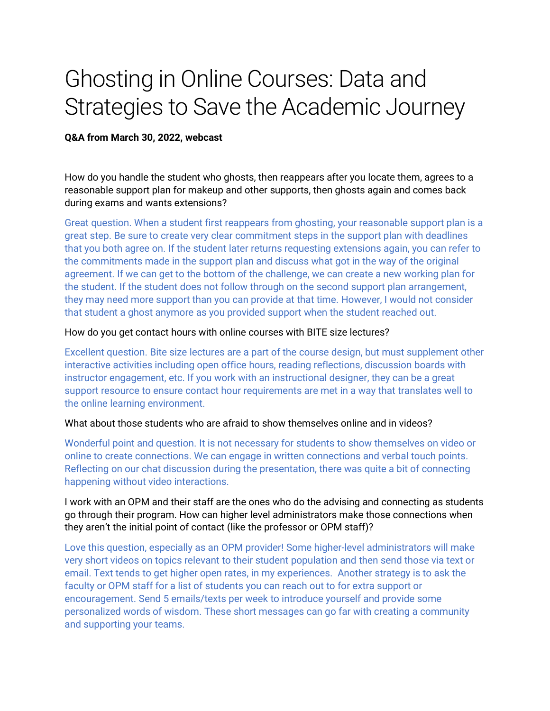# Ghosting in Online Courses: Data and Strategies to Save the Academic Journey

#### **Q&A from March 30, 2022, webcast**

How do you handle the student who ghosts, then reappears after you locate them, agrees to a reasonable support plan for makeup and other supports, then ghosts again and comes back during exams and wants extensions?

Great question. When a student first reappears from ghosting, your reasonable support plan is a great step. Be sure to create very clear commitment steps in the support plan with deadlines that you both agree on. If the student later returns requesting extensions again, you can refer to the commitments made in the support plan and discuss what got in the way of the original agreement. If we can get to the bottom of the challenge, we can create a new working plan for the student. If the student does not follow through on the second support plan arrangement, they may need more support than you can provide at that time. However, I would not consider that student a ghost anymore as you provided support when the student reached out.

#### How do you get contact hours with online courses with BITE size lectures?

Excellent question. Bite size lectures are a part of the course design, but must supplement other interactive activities including open office hours, reading reflections, discussion boards with instructor engagement, etc. If you work with an instructional designer, they can be a great support resource to ensure contact hour requirements are met in a way that translates well to the online learning environment.

#### What about those students who are afraid to show themselves online and in videos?

Wonderful point and question. It is not necessary for students to show themselves on video or online to create connections. We can engage in written connections and verbal touch points. Reflecting on our chat discussion during the presentation, there was quite a bit of connecting happening without video interactions.

## I work with an OPM and their staff are the ones who do the advising and connecting as students go through their program. How can higher level administrators make those connections when they aren't the initial point of contact (like the professor or OPM staff)?

Love this question, especially as an OPM provider! Some higher-level administrators will make very short videos on topics relevant to their student population and then send those via text or email. Text tends to get higher open rates, in my experiences. Another strategy is to ask the faculty or OPM staff for a list of students you can reach out to for extra support or encouragement. Send 5 emails/texts per week to introduce yourself and provide some personalized words of wisdom. These short messages can go far with creating a community and supporting your teams.